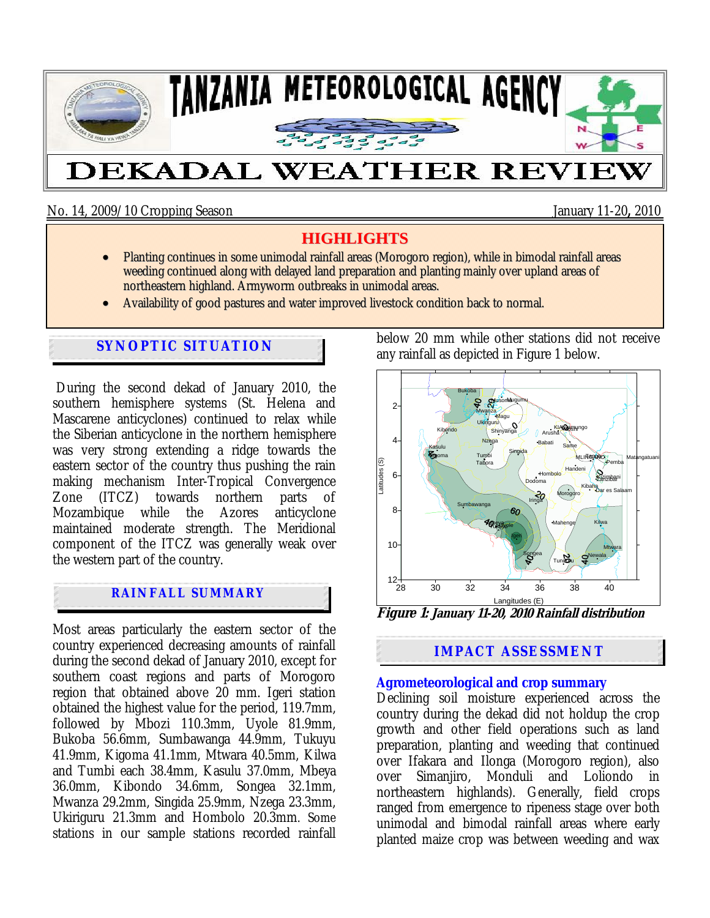

No. 14, 2009/10 Cropping Season January 11-20**,** 2010

# **HIGHLIGHTS**

- Planting continues in some unimodal rainfall areas (Morogoro region), while in bimodal rainfall areas weeding continued along with delayed land preparation and planting mainly over upland areas of northeastern highland. Armyworm outbreaks in unimodal areas.
- Availability of good pastures and water improved livestock condition back to normal.

## **SYNOPTIC SITUATION**

During the second dekad of January 2010, the southern hemisphere systems (St. Helena and Mascarene anticyclones) continued to relax while the Siberian anticyclone in the northern hemisphere was very strong extending a ridge towards the eastern sector of the country thus pushing the rain making mechanism Inter-Tropical Convergence<br>Zone (ITCZ) towards northern parts of parts of Mozambique while the Azores anticyclone maintained moderate strength. The Meridional component of the ITCZ was generally weak over the western part of the country.

## **RAINFALL SUMMARY**

Most areas particularly the eastern sector of the country experienced decreasing amounts of rainfall during the second dekad of January 2010, except for southern coast regions and parts of Morogoro region that obtained above 20 mm. Igeri station obtained the highest value for the period, 119.7mm, followed by Mbozi 110.3mm, Uyole 81.9mm, Bukoba 56.6mm, Sumbawanga 44.9mm, Tukuyu 41.9mm, Kigoma 41.1mm, Mtwara 40.5mm, Kilwa and Tumbi each 38.4mm, Kasulu 37.0mm, Mbeya 36.0mm, Kibondo 34.6mm, Songea 32.1mm, Mwanza 29.2mm, Singida 25.9mm, Nzega 23.3mm, Ukiriguru 21.3mm and Hombolo 20.3mm. Some stations in our sample stations recorded rainfall below 20 mm while other stations did not receive any rainfall as depicted in Figure 1 below.



**Figure 1: January 11-20, 2010 Rainfall distribution**

## **IMPACT ASSESSMENT**

### **Agrometeorological and crop summary**

Declining soil moisture experienced across the country during the dekad did not holdup the crop growth and other field operations such as land preparation, planting and weeding that continued over Ifakara and Ilonga (Morogoro region), also over Simanjiro, Monduli and Loliondo in northeastern highlands). Generally, field crops ranged from emergence to ripeness stage over both unimodal and bimodal rainfall areas where early planted maize crop was between weeding and wax